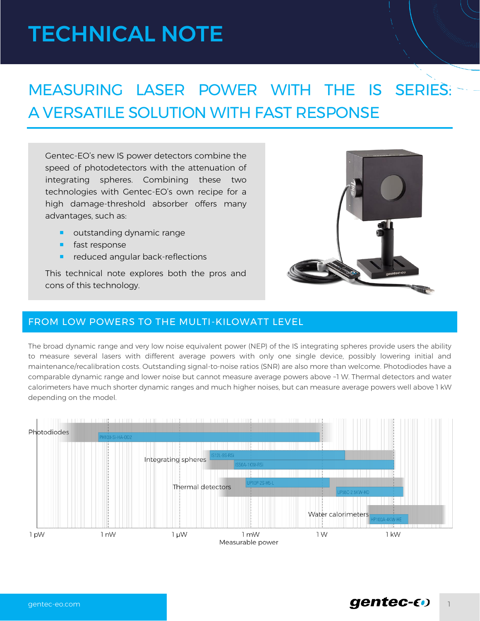# TECHNICAL NOTE

# MEASURING LASER POWER WITH THE IS SERIES: A VERSATILE SOLUTION WITH FAST RESPONSE

Gentec-EO's new IS power detectors combine the speed of photodetectors with the attenuation of integrating spheres. Combining these two technologies with Gentec-EO's own recipe for a high damage-threshold absorber offers many advantages, such as:

- **u** outstanding dynamic range
- **fast response**
- reduced angular back-reflections

This technical note explores both the pros and cons of this technology.



### FROM LOW POWERS TO THE MULTI-KILOWATT LEVEL

The broad dynamic range and very low noise equivalent power (NEP) of the IS integrating spheres provide users the ability to measure several lasers with different average powers with only one single device, possibly lowering initial and maintenance/recalibration costs. Outstanding signal-to-noise ratios (SNR) are also more than welcome. Photodiodes have a comparable dynamic range and lower noise but cannot measure average powers above ~1 W. Thermal detectors and water calorimeters have much shorter dynamic ranges and much higher noises, but can measure average powers well above 1 kW depending on the model.

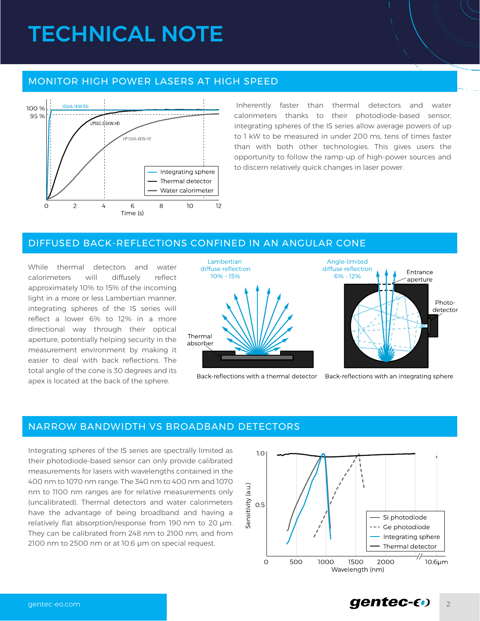# TECHNICAL NOTE

### MONITOR HIGH POWER LASERS AT HIGH SPEED



Inherently faster than thermal detectors and water calorimeters thanks to their photodiode-based sensor, integrating spheres of the IS series allow average powers of up to 1 kW to be measured in under 200 ms, tens of times faster than with both other technologies. This gives users the opportunity to follow the ramp-up of high-power sources and to discern relatively quick changes in laser power.

#### DIFFUSED BACK-REFLECTIONS CONFINED IN AN ANGULAR CONE

While thermal detectors and water calorimeters will diffusely reflect approximately 10% to 15% of the incoming light in a more or less Lambertian manner, integrating spheres of the IS series will reflect a lower 6% to 12% in a more directional way through their optical aperture, potentially helping security in the measurement environment by making it easier to deal with back reflections. The total angle of the cone is 30 degrees and its apex is located at the back of the sphere.



Back-reflections with a thermal detector



Back-reflections with an integrating sphere

### NARROW BANDWIDTH VS BROADBAND DETECTORS

Integrating spheres of the IS series are spectrally limited as their photodiode-based sensor can only provide calibrated measurements for lasers with wavelengths contained in the 400 nm to 1070 nm range. The 340 nm to 400 nm and 1070 nm to 1100 nm ranges are for relative measurements only (uncalibrated). Thermal detectors and water calorimeters have the advantage of being broadband and having a relatively flat absorption/response from 190 nm to 20 μm. They can be calibrated from 248 nm to 2100 nm, and from 2100 nm to 2500 nm or at 10.6 μm on special request.



# [gentec-eo.com](https://www.gentec-eo.com/?utm_source=technote&utm_medium=link-click) and the community of the community of the community of the community of the community of  $\mathbf{g}$  and  $\mathbf{g}$